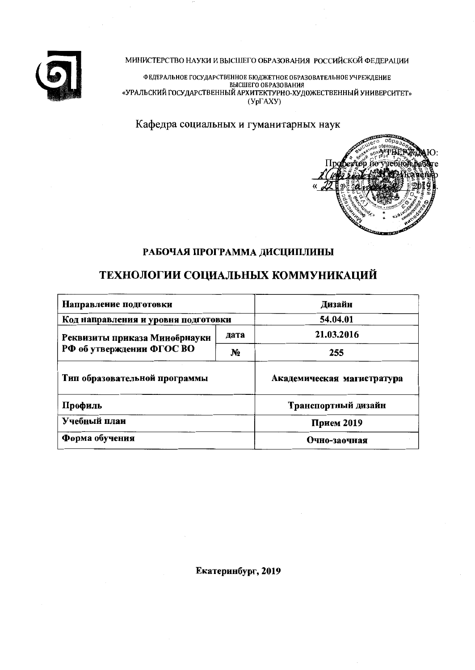

МИНИСТЕРСТВО НАУКИ И ВЫСШЕГО ОБРАЗОВАНИЯ РОССИЙСКОЙ ФЕДЕРАЦИИ

ФЕДЕРАЛЬНОЕ ГОСУДАРСТВЕННОЕ БЮДЖЕТНОЕ ОБРАЗОВАТЕЛЬНОЕ УЧРЕЖДЕНИЕ<br>ВЫСШЕГО ОБРАЗОВАНИЯ<br>«УРАЛЬСКИЙ ГОСУДАРСТВЕННЫЙ АРХИТЕКТУРНО-ХУДОЖЕСТВЕННЫЙ УНИВЕРСИТЕТ»  $(Y<sub>D</sub>TAXY)$ 

Кафедра социальных и гуманитарных наук



# РАБОЧАЯ ПРОГРАММА ДИСЦИПЛИНЫ

# ТЕХНОЛОГИИ СОЦИАЛЬНЫХ КОММУНИКАЦИЙ

| Направление подготовки              | Дизайн       |                            |  |
|-------------------------------------|--------------|----------------------------|--|
| Код направления и уровня подготовки | 54.04.01     |                            |  |
| Реквизиты приказа Мииобрнауки       | 21.03.2016   |                            |  |
| РФ об утверждении ФГОС ВО           | 255          |                            |  |
| Тип образовательной программы       |              | Академическая магистратура |  |
| Профиль                             |              | Транспортный дизайн        |  |
| Учебный план                        | Прием 2019   |                            |  |
| Форма обучения                      | Очно-заочная |                            |  |

Екатеринбург, 2019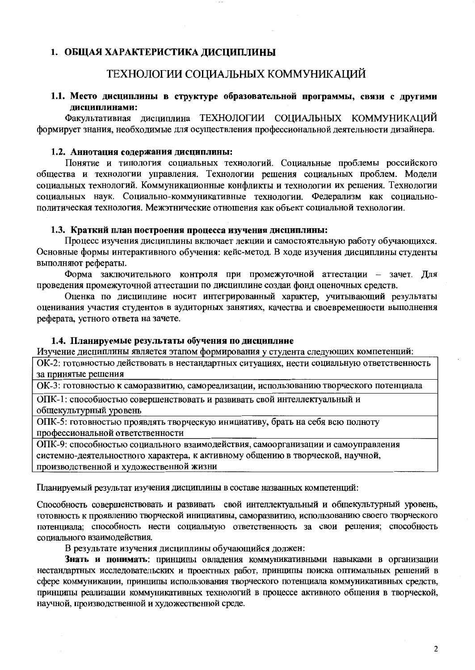# 1. ОБЩАЯ ХАРАКТЕРИСТИКА ДИСЦИПЛИНЫ

# ТЕХНОЛОГИИ СОЦИАЛЬНЫХ КОММУНИКАЦИЙ

1.1. Место дисциплины в структуре образовательной программы, связи с другими лисциплинами:

Факультативная дисциплина ТЕХНОЛОГИИ СОЦИАЛЬНЫХ КОММУНИКАЦИЙ формирует знания, необходимые для осуществления профессиональной деятельности дизайнера.

#### 1.2. Аннотация содержания дисциплины:

Понятие и типология социальных технологий. Социальные проблемы российского общества и технологии управления. Технологии решения социальных проблем. Модели социальных технологий. Коммуникационные конфликты и технологии их решения. Технологии социальных наук. Социально-коммуникативные технологии. Федерализм как социальнополитическая технология. Межэтнические отношения как объект социальной технологии.

#### 1.3. Краткий план построения процесса изучения дисциплины:

Процесс изучения дисциплины включает лекции и самостоятельную работу обучающихся. Основные формы интерактивного обучения: кейс-метод. В ходе изучения дисциплины студенты выполняют рефераты.

Форма заключительного контроля при промежуточной аттестации - зачет. Для проведения промежуточной аттестации по дисциплине создан фонд оценочных средств.

Оценка по дисциплине носит интегрированный характер, учитывающий результаты оценивания участия студентов в аудиторных занятиях, качества и своевременности выполнения реферата, устного ответа на зачете.

#### 1.4. Планируемые результаты обучения по дисциплине

Изучение дисциплины является этапом формирования у студента следующих компетенций:

ОК-2: готовностью действовать в нестандартных ситуациях, нести социальную ответственность за принятые решения

ОК-3: готовностью к саморазвитию, самореализации, использованию творческого потенциала

ОПК-1: способностью совершенствовать и развивать свой интеллектуальный и общекультурный уровень

ОПК-5: готовностью проявлять творческую инициативу, брать на себя всю полноту профессиональной ответственности

ОПК-9: способностью социального взаимодействия, самоорганизации и самоуправления системно-деятельностного характера, к активному общению в творческой, научной, производственной и художественной жизни

Планируемый результат изучения дисциплины в составе названных компетенций:

Способность совершенствовать и развивать свой интеллектуальный и общекультурный уровень, готовность к проявлению творческой инициативы, саморазвитию, использованию своего творческого потенциала; способность нести социальную ответственность за свои решения; способность социального взаимодействия.

В результате изучения дисциплины обучающийся должен:

Знать и понимать: принципы овладения коммуникативными навыками в организации нестандартных исследовательских и проектных работ, принципы поиска оптимальных решений в сфере коммуникации, принципы использования творческого потенциала коммуникативных средств, принципы реализации коммуникативных технологий в процессе активного общения в творческой, научной, производственной и художественной среде.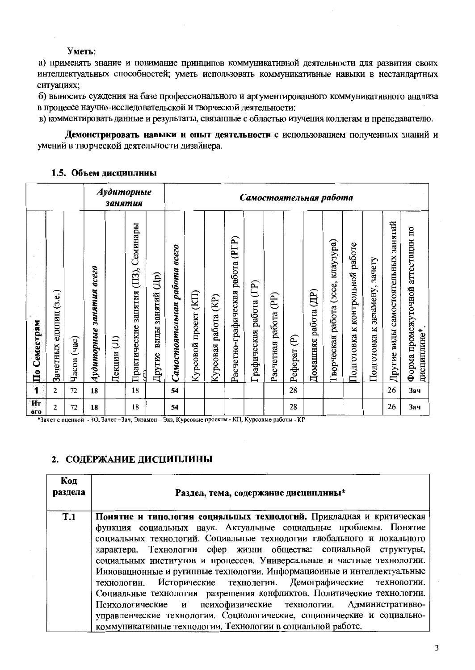Уметь:

а) применять знание и понимание принципов коммуникативной деятельности для развития своих интеллектуальных способностей; уметь использовать коммуникативные навыки в нестандартных ситуациях:

б) выносить суждения на базе профессионального и аргументированного коммуникативного анализа в процессе научно-исследовательской и творческой деятельности:

в) комментировать данные и результаты, связанные с областью изучения коллегам и преподавателю.

Демонстрировать навыки и опыт деятельности с использованием полученных знаний и умений в творческой деятельности дизайнера.

### 1.5. Объем дисциплины

|                                      |                              |               |                                           | занятия     | Аудиторные                                |                                                    | Самостоятельная работа          |                             |                            |                                      |                        |                          |              |                            |                                             |                                    |                                     |                                     |                                                     |
|--------------------------------------|------------------------------|---------------|-------------------------------------------|-------------|-------------------------------------------|----------------------------------------------------|---------------------------------|-----------------------------|----------------------------|--------------------------------------|------------------------|--------------------------|--------------|----------------------------|---------------------------------------------|------------------------------------|-------------------------------------|-------------------------------------|-----------------------------------------------------|
| Семестрам<br>$\overline{\mathbf{u}}$ | (3.e.)<br>единиц<br>Зачетных | (4a)<br>Часов | $\overline{ece}$<br>занятия<br>Аудиторные | ŧ<br>Лекции | Семинары<br>занятия (ПЗ),<br>Практические | $\overline{\text{L}}$<br>занятий<br>виды<br>Другие | работа всего<br>Самостоятельная | (KIT)<br>проект<br>Курсовой | (KP)<br>работа<br>Курсовая | (PTP)<br>Расчетно-графическая работа | рафическая работа (ГР) | (PP)<br>Расчетная работа | E<br>Реферат | (HD)<br>работа<br>Домашняя | клаузура)<br>(occe,<br>работа<br>Гворческая | работе<br>Подготовка к контрольной | зачету<br>экзамену,<br>Подготовка к | Другие виды самостоятельных занятий | аттестации по<br>Форма промежуточной<br>дисциплине* |
|                                      | 2                            | 72            | 18                                        |             | 18                                        |                                                    | 54                              |                             |                            |                                      |                        |                          | 28           |                            |                                             |                                    |                                     | 26                                  | 3ач                                                 |
| Ит<br>oro                            | $\overline{c}$               | 72            | 18                                        |             | 18                                        |                                                    | 54                              |                             |                            |                                      |                        |                          | 28           |                            |                                             |                                    |                                     | 26                                  | 3ач                                                 |

\* 1 — При принцип в стали с при принцип в стали с проекты - КП, Курсовые работы - КР

# 2. СОДЕРЖАНИЕ ДИСЦИПЛИНЫ

| Код<br>раздела | Раздел, тема, содержание дисциплины*                                   |
|----------------|------------------------------------------------------------------------|
| T.1            | Понятие и типология социальных технологий. Прикладная и критическая    |
|                | функция социальных наук. Актуальные социальные проблемы. Понятие       |
|                | социальных технологий. Социальные технологии глобального и локального  |
|                | характера. Технологии сфер жизни общества: социальной структуры,       |
|                | социальных институтов и процессов. Универсальные и частные технологии. |
|                | Инновационные и рутинные технологии. Информационные и интеллектуальные |
|                | технологии. Исторические технологии. Демографические технологии.       |
|                | Социальные технологии разрешения конфликтов. Политические технологии.  |
|                | Психологические и психофизические технологии. Административно-         |
|                | управленческие технологии. Социологические, соционические и социально- |
|                | коммуникативные технологии. Технологии в социальной работе.            |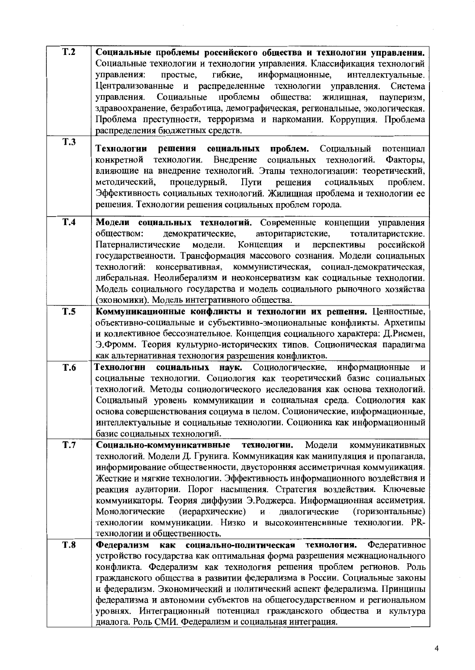| T.2        | Социальные проблемы российского общества и технологии управления.           |
|------------|-----------------------------------------------------------------------------|
|            | Социальные технологии и технологии управления. Классификация технологий     |
|            | гибкие,<br>информационные,<br>простые,<br>интеллектуальные.<br>управления:  |
|            | Централизованные и распределенные технологии управления. Система            |
|            | управления. Социальные проблемы<br>общества:<br>жилищная,<br>пауперизм,     |
|            |                                                                             |
|            | здравоохранение, безработица, демографическая, региональные, экологическая. |
|            | Проблема преступности, терроризма и наркомании. Коррупция. Проблема         |
|            | распределения бюджетных средств.                                            |
| <b>T.3</b> |                                                                             |
|            | решения социальных проблем. Социальный потенциал<br>Технологии              |
|            | конкретной технологии. Внедрение социальных технологий.<br>Факторы,         |
|            | влияющие на внедрение технологий. Этапы технологизации: теоретический,      |
|            | процедурный. Пути решения социальных<br>проблем.<br>методический,           |
|            | Эффективность социальных технологий. Жилищная проблема и технологии ее      |
|            | решения. Технологии решения социальных проблем города.                      |
|            |                                                                             |
| <b>T.4</b> | Модели социальных технологий. Современные концепции управления              |
|            | демократические, авторитаристские,<br>обществом:<br>тоталитаристские.       |
|            | Патерналистические модели. Концепция и<br>перспективы российской            |
|            |                                                                             |
|            | государственности. Трансформация массового сознания. Модели социальных      |
|            | технологий: консервативная, коммунистическая, социал-демократическая,       |
|            | либеральная. Неолиберализм и неоконсерватизм как социальные технологии.     |
|            | Модель социального государства и модель социального рыночного хозяйства     |
|            | (экономики). Модель интегративного общества.                                |
| <b>T.5</b> | Коммуникационные конфликты и технологин их решения. Ценностные,             |
|            | объективно-социальные и субъективно-эмоциональные конфликты. Архетипы       |
|            | и коллективное бессознательное. Концепция социального характера: Д.Рисмен,  |
|            | Э. Фромм. Теория культурно-исторических типов. Соционическая парадигма      |
|            | как альтернативная технология разрешения конфликтов.                        |
|            |                                                                             |
| T.6        | Технологин социальных наук. Социологические,<br>информационные<br>и         |
|            | социальные технологии. Социология как теоретический базис социальных        |
|            | технологий. Методы социологического исследования как основа технологий.     |
|            | Социальный уровень коммуникации и социальная среда. Социология как          |
|            | основа совершенствования социума в целом. Соционические, информационные,    |
|            | интеллектуальные и социальные технологии. Соционика как информационный      |
|            | базис социальных технологий.                                                |
| <b>T.7</b> | Модели<br>Социально-коммуникативные технологии.<br>коммуникативных          |
|            | технологий. Модели Д. Грунига. Коммуникация как манипуляция и пропаганда,   |
|            | информирование общественности, двусторонняя ассиметричная коммуникация.     |
|            | Жесткие и мягкие технологии. Эффективность информационного воздействия и    |
|            | реакция аудитории. Порог насыщения. Стратегия воздействия. Ключевые         |
|            | коммуникаторы. Теория диффузии Э.Роджерса. Информационная ассиметрия.       |
|            |                                                                             |
|            | (иерархические) и диалогические<br>(горизонтальные)<br>Монологические       |
|            | технологии коммуникации. Низко и высокоинтенсивные технологии. PR-          |
|            | технологии и общественность.                                                |
| <b>T.8</b> | Федеративное<br>Федерализм как социально-политическая<br>технология.        |
|            | устройство государства как оптимальная форма разрешения межнационального    |
|            | конфликта. Федерализм как технология решения проблем регионов. Роль         |
|            | гражданского общества в развитии федерализма в России. Социальные законы    |
|            | и федерализм. Экономический и политический аспект федерализма. Принципы     |
|            | федерализма и автономии субъектов на общегосударственном и региональном     |
|            | уровнях. Интеграционный потенциал гражданского общества и культура          |
|            | диалога. Роль СМИ. Федерализм и социальная интеграция.                      |
|            |                                                                             |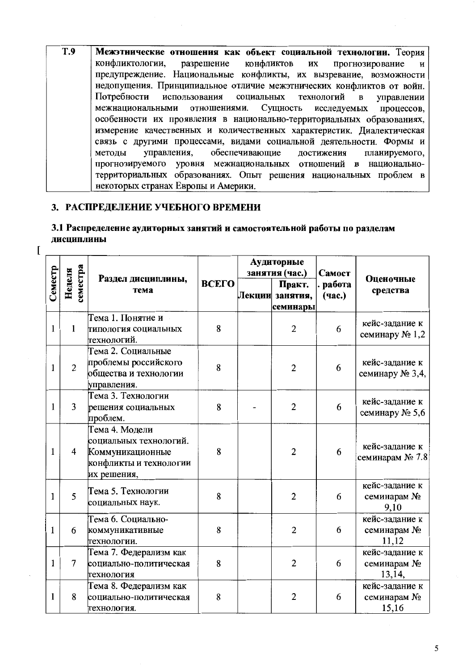$\overline{T.9}$ Межэтнические отношения как объект социальной технологии. Теория конфликтологии. конфликтов разрешение их прогнозирование И предупреждение. Национальные конфликты, их вызревание, возможности недопущения. Принципиальное отличие межэтнических конфликтов от войн. управлении Потребности использования социальных технологий  $\mathbf{B}$ межнациональными отношениями. Сущность исследуемых процессов, особенности их проявления в национально-территориальных образованиях, измерение качественных и количественных характеристик. Диалектическая связь с другими процессами, видами социальной деятельности. Формы и достижения управления, обеспечивающие планируемого. метолы прогнозируемого уровня межнациональных отношений в национальнотерриториальных образованиях. Опыт решения национальных проблем в некоторых странах Европы и Америки.

### 3. РАСПРЕДЕЛЕНИЕ УЧЕБНОГО ВРЕМЕНИ

 $\overline{1}$ 

## 3.1 Распределение аудиторных занятий и самостоятельной работы по разделам лиспиплины

|              |                    |                                                                                                       |       |  | Аудиторные<br>занятия (час.)          | Самост |                                         |  |
|--------------|--------------------|-------------------------------------------------------------------------------------------------------|-------|--|---------------------------------------|--------|-----------------------------------------|--|
| Семестр      | семестра<br>Неделя | Раздел дисциплины,<br>тема                                                                            | ВСЕГО |  | Практ.<br>Лекции занятия,<br>семинары |        | Оценочные<br>средства                   |  |
| 1            | 1                  | Тема 1. Понятие и<br>типология социальных<br>технологий.                                              | 8     |  | $\overline{2}$                        | 6      | кейс-задание к<br>семинару № 1,2        |  |
| 1            | $\overline{2}$     | Тема 2. Социальные<br>проблемы российского<br>общества и технологии<br>управления.                    | 8     |  | $\overline{2}$                        | 6      | кейс-задание к<br>семинару № 3,4,       |  |
| 1            | $\overline{3}$     | Тема 3. Технологии<br>решения социальных<br>проблем.                                                  | 8     |  | $\overline{2}$                        | 6      | кейс-задание к<br>семинару № 5,6        |  |
| 1            | $\overline{4}$     | Тема 4. Модели<br>социальных технологий.<br>Коммуникационные<br>конфликты и технологии<br>их решения, | 8     |  | $\overline{2}$                        | 6      | кейс-задание к<br>семинарам № 7.8       |  |
| $\mathbf{1}$ | 5                  | Тема 5. Технологии<br>социальных наук.                                                                | 8     |  | $\overline{2}$                        | 6      | кейс-задание к<br>семинарам №<br>9,10   |  |
| 1            | 6                  | Тема 6. Социально-<br>коммуникативные<br>технологии.                                                  | 8     |  | $\overline{c}$                        | 6      | кейс-задание к<br>семинарам №<br>11,12  |  |
| $\mathbf{1}$ | $\overline{7}$     | Тема 7. Федерализм как<br>социально-политическая<br>технология                                        | 8     |  | $\overline{2}$                        | 6      | кейс-задание к<br>семинарам №<br>13,14, |  |
| 1            | 8                  | Тема 8. Федерализм как<br>социально-политическая<br>технология.                                       | 8     |  | $\overline{2}$                        | 6      | кейс-задание к<br>семинарам №<br>15,16  |  |

5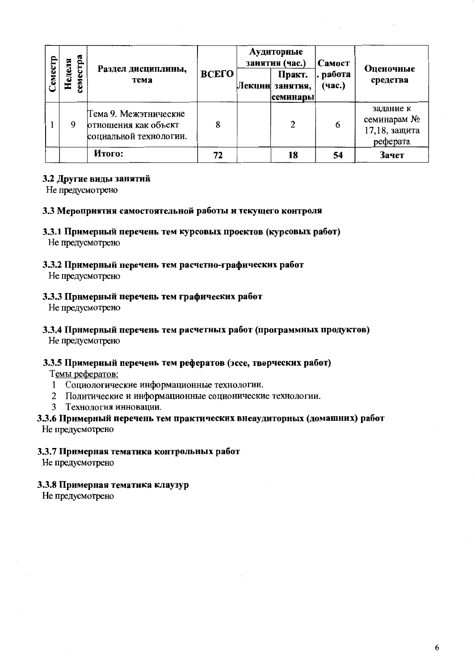| Cemecrp | crpa<br>Неделя<br>cem | Раздел дисциплины,<br>тема                                              | ВСЕГО | Аудиторные<br>занятия (час.)<br>Практ.<br>Лекции занятия,<br>семинары | Самост<br>. работа<br>(час.) | Оценочные<br>средства                                 |
|---------|-----------------------|-------------------------------------------------------------------------|-------|-----------------------------------------------------------------------|------------------------------|-------------------------------------------------------|
|         | 9                     | Тема 9. Межэтнические<br>отношения как объект<br>социальной технологии. | 8     | 2                                                                     | 6                            | задание к<br>семинарам №<br>17,18, защита<br>реферата |
|         |                       | Итого:                                                                  | 72    | 18                                                                    | 54                           | Зачет                                                 |

### 3.2 Другие виды занятий

Не предусмотрено

#### 3.3 Меропрнятия самостоятельной работы и текущего контроля

# 3.3.1 Примерный перечень тем курсовых проектов (курсовых работ)

Не предусмотрено

# 3.3.2 Примерный перечень тем расчетно-графических работ

Не предусмотрено

### 3.3.3 Примерный перечень тем графических работ

Не предусмотрено

# 3.3.4 Примерный перечень тем расчетных работ (программных продуктов)

Не предусмотрено

### 3.3.5 Примерный перечень тем рефератов (эссе, творческих работ)

Темы рефератов:

- 1 Социологические информационные технологии.
- 2 Политические и информационные соционические технологии.
- 3 Технология инновации.

# 3.3.6 Примерный перечень тем практических внеаудиторных (домашних) работ

Не предусмотрено

### 3.3.7 Примерная тематика контрольных работ

Не предусмотрено

### 3.3.8 Примерная тематика клаузур

Не предусмотрено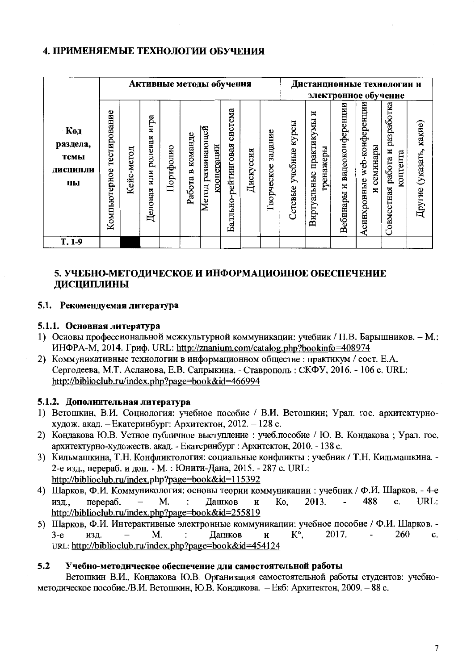# 4. ПРИМЕНЯЕМЫЕ ТЕХНОЛОГИИ ОБУЧЕНИЯ

|                                                  |                              |            |                                |           |                     | Активные методы обучения        |                                |           |                       | Дистанционные технологии и<br>электронное обучение |                                             |                                   |                                            |                                               |                               |
|--------------------------------------------------|------------------------------|------------|--------------------------------|-----------|---------------------|---------------------------------|--------------------------------|-----------|-----------------------|----------------------------------------------------|---------------------------------------------|-----------------------------------|--------------------------------------------|-----------------------------------------------|-------------------------------|
| <b>Код</b><br>раздела,<br>темы<br>дисципли<br>ны | тестирование<br>Компьютерное | Кейс-метод | игра<br>ролевая<br>Деловая или | Портфолио | команде<br>Работа в | Метод развивающей<br>кооперации | система<br>Балльно-рейтинговая | Дискуссия | задание<br>Творческое | курсы<br>учебные<br>Сетевые                        | N<br>практикумы<br>гренажеры<br>Виртуальные | видеоконференции<br>Ħ<br>Вебинары | web-конференции<br>семинары<br>Асинхронные | разработка<br>Совместная работа и<br>контента | какие)<br>(указать,<br>Другие |
| $T.1-9$                                          |                              |            |                                |           |                     |                                 |                                |           |                       |                                                    |                                             |                                   |                                            |                                               |                               |

# 5. УЧЕБНО-МЕТОДИЧЕСКОЕ И ИНФОРМАЦИОННОЕ ОБЕСПЕЧЕНИЕ ДИСЦИПЛИНЫ

### 5.1. Рекомендуемая литература

### 5.1.1. Основная литература

- 1) Основы профессиональной межкультурной коммуникации: учебник / Н.В. Барышников. М.: ИНФРА-М, 2014. Гриф. URL: http://znanium.com/catalog.php?bookinfo=408974
- 2) Коммуникативные технологии в информационном обществе: практикум / сост. Е.А. Сергодеева, М.Т. Асланова, Е.В. Сапрыкина. - Ставрополь: СКФУ, 2016. - 106 с. URL: http://biblioclub.ru/index.php?page=book&id=466994

### 5.1.2. Дополнительная литература

- 1) Ветошкин, В.И. Социология: учебное пособие / В.И. Ветошкин; Урал. гос. архитектурнохудож. акад. – Екатеринбург: Архитектон, 2012. – 128 с.
- 2) Кондакова Ю.В. Устное публичное выступление : учеб.пособие / Ю. В. Кондакова; Урал. гос. архитектурно-художеств. акад. - Екатеринбург : Архитектон, 2010. - 138 с.
- 3) Кильмашкина, Т.Н. Конфликтология: социальные конфликты : учебник / Т.Н. Кильмашкина. -2-е изд., перераб. и доп. - М. : Юнити-Дана, 2015. - 287 с. URL: http://biblioclub.ru/index.php?page=book&id=115392
- 4) Шарков, Ф.И. Коммуникология: основы теории коммуникации : учебник / Ф.И. Шарков. 4-е 2013. 488 URL: изд., перераб. M.  $\cdot$ Дашков  $\mathbf{H}$ Ko. c. http://biblioclub.ru/index.php?page=book&id=255819
- 5) Шарков, Ф.И. Интерактивные электронные коммуникации: учебное пособие / Ф.И. Шарков. -2017. 260  $3-e$ изд. M. Дашков  $\, {\bf H}$  $K^{\circ}$  $\overline{a}$ c.  $\cdot$ URL: http://biblioclub.ru/index.php?page=book&id=454124

#### $5.2$ Учебно-методическое обеспечение для самостоятельной работы

Ветошкин В.И., Кондакова Ю.В. Организация самостоятельной работы студентов: учебнометодическое пособие./В.И. Ветошкин, Ю.В. Кондакова. - Екб: Архитектон, 2009. - 88 с.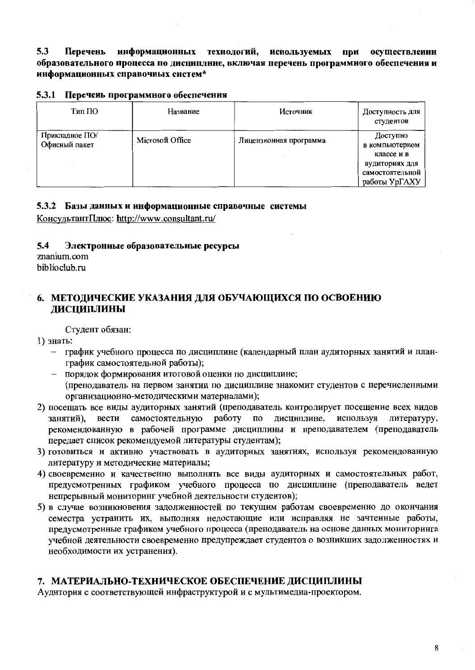$5.3$ Перечень информационных технологий, используемых при осуществлении образовательного процесса по дисциплине, включая перечень программиого обеспечения и информационных справочных систем\*

#### 5.3.1 Перечень программного обеспечения

| Тип ПО                          | Название         | Источник               | Доступность для<br>студентов                                                                   |
|---------------------------------|------------------|------------------------|------------------------------------------------------------------------------------------------|
| Прикладное ПО/<br>Офисный пакет | Microsoft Office | Лицензионная программа | Доступно<br>в компьютерном<br>классе и в<br>аудиториях для<br>самостоятельной<br>работы УрГАХУ |

### 5.3.2 Базы данных и информационные справочные системы

КонсультантПлюс: http://www.consultant.ru/

#### $5.4$ Электронные образовательные ресурсы

znanium.com biblioclub.ru

# 6. МЕТОДИЧЕСКИЕ УКАЗАНИЯ ДЛЯ ОБУЧАЮЩИХСЯ ПО ОСВОЕНИЮ ДИСЦИПЛИНЫ

Студент обязан:

- 1) знать:
	- график учебного процесса по дисциплине (календарный план аудиторных занятий и планграфик самостоятельной работы);
	- порядок формирования итоговой оценки по дисциплине;
	- (преподаватель на первом занятии по дисциплине знакомит студентов с перечисленными организационно-методическими материалами);
- 2) посещать все виды аудиторных занятий (преподаватель контролирует посещение всех видов вести самостоятельную работу по дисциплине, используя занятий). литературу. рекомендованную в рабочей программе дисциплины и преподавателем (преподаватель передает список рекомендуемой литературы студентам);
- 3) готовиться и активно участвовать в аудиторных занятиях, используя рекомендованную литературу и методические материалы;
- 4) своевременно и качественно выполнять все виды аудиторных и самостоятельных работ, предусмотренных графиком учебного процесса по дисциплине (преподаватель ведет непрерывный мониторинг учебной деятельности студентов):
- 5) в случае возникновения задолженностей по текущим работам своевременно до окончания семестра устранить их, выполняя недостающие или исправляя не зачтенные работы, предусмотренные графиком учебного процесса (преподаватель на основе данных мониторинга учебной деятельности своевременно предупреждает студентов о возникших задолженностях и необходимости их устранения).

# 7. МАТЕРИАЛЬНО-ТЕХНИЧЕСКОЕ ОБЕСПЕЧЕНИЕ ЛИСЦИПЛИНЫ

Аудитория с соответствующей инфраструктурой и с мультимедиа-проектором.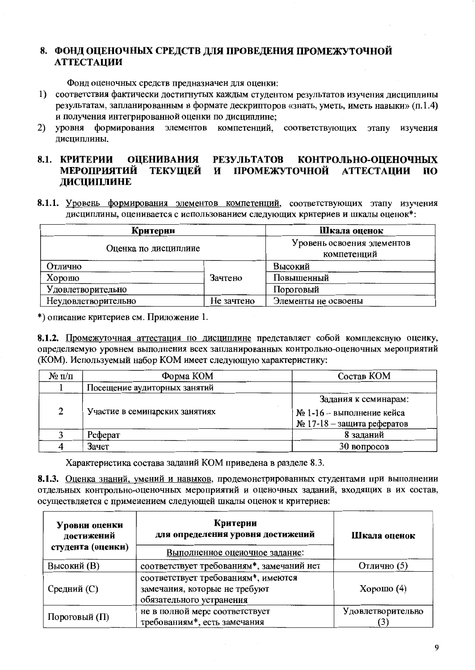# 8. ФОНД ОЦЕНОЧНЫХ СРЕДСТВ ДЛЯ ПРОВЕДЕНИЯ ПРОМЕЖУТОЧНОЙ **АТТЕСТАЦИИ**

Фонд оценочных средств предназначен для оценки:

- 1) соответствия фактически достигнутых каждым студентом результатов изучения дисциплины результатам, запланированным в формате дескрипторов «знать, уметь, иметь навыки» (п.1.4) и получения интегрированной оценки по дисциплине;
- $2)$ **VDOBHЯ** формирования элементов компетенций, соответствующих этапу изучения лиспиплины.

#### 8.1. КРИТЕРИИ **ОЦЕНИВАНИЯ РЕЗУЛЬТАТОВ** КОНТРОЛЬНО-ОПЕНОЧНЫХ **МЕРОПРИЯТИЙ ТЕКУШЕЙ**  $\mathbf{M}$ ПРОМЕЖУТОЧНОЙ **АТТЕСТАЦИИ**  $\Pi$ <sup>O</sup> ДИСЦИПЛИНЕ

8.1.1. Уровень формирования элементов компетенций, соответствующих этапу изучения дисциплины, оценивается с использованием следующих критериев и шкалы оценок\*:

| Критерии             | Шкала оценок                              |                     |  |
|----------------------|-------------------------------------------|---------------------|--|
| Оценка по дисциплине | Уровень освоения элементов<br>компетенций |                     |  |
| Отлично              |                                           | Высокий             |  |
| Хорошо               | Зачтено                                   | Повышенный          |  |
| Удовлетворительно    | Пороговый                                 |                     |  |
| Неудовлетворительно  | Не зачтено                                | Элементы не освоены |  |

\*) описание критериев см. Приложение 1.

8.1.2. Промежуточная аттестация по дисциплине представляет собой комплексную оценку, определяемую уровнем выполнения всех запланированных контрольно-оценочных мероприятий (КОМ). Используемый набор КОМ имеет следующую характеристику:

| $\mathbf{N}_2$ π/π | Форма КОМ                      | Состав КОМ                    |  |  |  |
|--------------------|--------------------------------|-------------------------------|--|--|--|
|                    | Посещение аудиторных занятий   |                               |  |  |  |
|                    |                                | Задания к семинарам:          |  |  |  |
| 2                  | Участие в семинарских занятиях | $N2$ 1-16 – выполнение кейса  |  |  |  |
|                    |                                | $N2$ 17-18 – защита рефератов |  |  |  |
|                    | Реферат                        | 8 заданий                     |  |  |  |
|                    | Зачет                          | 30 вопросов                   |  |  |  |

Характеристика состава заданий КОМ приведена в разделе 8.3.

8.1.3. Оценка знаний, умений и навыков, продемонстрированных студентами при выполнении отдельных контрольно-оценочных мероприятий и оценочных заданий, входящих в их состав, осуществляется с применением следующей шкалы оценок и критериев:

| Уровни оценки<br>достижений<br>студента (оценки) | Критерии<br>для определения уровня достижений<br>Выполненное оценочное задание:                  | Шкала оценок      |
|--------------------------------------------------|--------------------------------------------------------------------------------------------------|-------------------|
| <b>Высокий</b> (B)                               | соответствует требованиям*, замечаний нет                                                        | Отлично (5)       |
| Средний (С)                                      | соответствует требованиям*, имеются<br>замечания, которые не требуют<br>обязательного устранения | Хорошо $(4)$      |
| Пороговый (П)                                    | не в полной мере соответствует<br>требованиям*, есть замечания                                   | Удовлетворительно |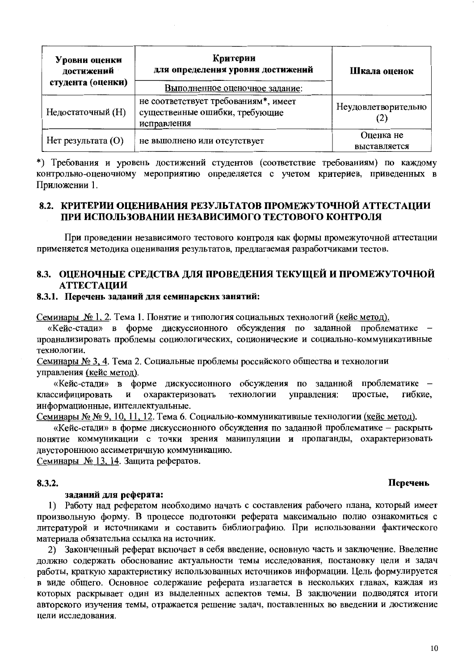| Уровни оценки<br>достижений<br>студента (оценки) | Критерии<br>для определения уровня достижений                                         | Шкала оценок              |  |  |
|--------------------------------------------------|---------------------------------------------------------------------------------------|---------------------------|--|--|
|                                                  | Выполненное оценочное задание:                                                        |                           |  |  |
| Недостаточный (Н)                                | не соответствует требованиям*, имеет<br>существенные ошибки, требующие<br>исправления | Неудовлетворительно       |  |  |
| Нет результата (O)                               | не выполнено или отсутствует                                                          | Оценка не<br>выставляется |  |  |

\*) Требования и уровень достижений студентов (соответствие требованиям) по каждому контрольно-оценочному мероприятию определяется с учетом критериев, приведенных в Приложении 1.

## 8.2. КРИТЕРИИ ОПЕНИВАНИЯ РЕЗУЛЬТАТОВ ПРОМЕЖУТОЧНОЙ АТТЕСТАЦИИ ПРИ ИСПОЛЬЗОВАНИИ НЕЗАВИСИМОГО ТЕСТОВОГО КОНТРОЛЯ

При проведении независимого тестового контроля как формы промежуточной аттестации применяется методика оценивания результатов, предлагаемая разработчиками тестов.

## 8.3. ОЦЕНОЧНЫЕ СРЕДСТВА ДЛЯ ПРОВЕДЕНИЯ ТЕКУЩЕЙ И ПРОМЕЖУТОЧНОЙ **АТТЕСТАЦИИ**

#### 8.3.1. Перечень заданий для семинарских занятий:

Семинары № 1, 2. Тема 1. Понятие и типология социальных технологий (кейс метод).

«Кейс-стади» в форме дискуссионного обсуждения по заданной проблематике проанализировать проблемы социологических, соционические и социально-коммуникативные технологии.

Семинары № 3, 4. Тема 2. Социальные проблемы российского общества и технологии управления (кейс метод).

«Кейс-стади» в форме дискуссионного обсуждения по заданной проблематике гибкие, охарактеризовать технологии управления: простые. классифицировать информационные, интеллектуальные.

Семинары № № 9, 10, 11, 12. Тема 6. Социально-коммуникативные технологии (кейс метод).

«Кейс-стади» в форме дискуссионного обсуждения по заданной проблематике - раскрыть понятие коммуникации с точки зрения манипуляции и пропаганды, охарактеризовать двустороннюю ассиметричную коммуникацию.

Семинары № 13, 14. Защита рефератов.

#### 8.3.2.

#### заданий для реферата:

1) Работу над рефератом необходимо начать с составления рабочего плана, который имеет произвольную форму. В процессе подготовки реферата максимально полно ознакомиться с литературой и источниками и составить библиографию. При использовании фактического материала обязательна ссылка на источник.

2) Законченный реферат включает в себя введение, основную часть и заключение. Введение должно содержать обоснование актуальности темы исследования, постановку цели и задач работы, краткую характеристику использованных источников информации. Цель формулируется в виде общего. Основное содержание реферата излагается в нескольких главах, каждая из которых раскрывает один из выделенных аспектов темы. В заключении подводятся итоги авторского изучения темы, отражается решение задач, поставленных во введении и достижение нели исследования.

#### Перечень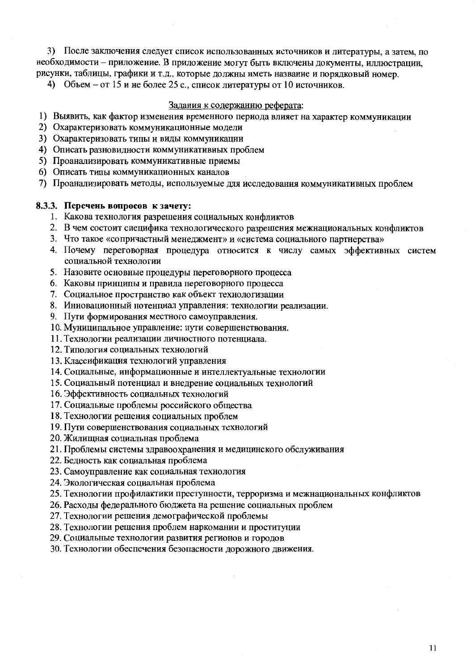3) После заключения следует список использованных источников и литературы, а затем, по необходимости - приложение. В приложение могут быть включены документы, иллюстрации, рисунки, таблицы, графики и т.д., которые должны иметь название и порядковый номер.

4) Объем – от 15 и не более 25 с., список литературы от 10 источников.

#### Задания к содержанию реферата:

- 1) Выявить, как фактор изменения временного периода влияет на характер коммуникации
- 2) Охарактеризовать коммуникационные модели
- 3) Охарактеризовать типы и виды коммуникации
- 4) Описать разновидности коммуникативных проблем
- 5) Проанализировать коммуникативные приемы
- 6) Описать типы коммуникационных каналов
- 7) Проанализировать методы, используемые для исследования коммуникативных проблем

#### 8.3.3. Перечень вопросов к зачету:

- 1. Какова технология разрешения социальных конфликтов
- 2. В чем состоит специфика технологического разрешения межнациональных конфликтов
- 3. Что такое «сопричастный менеджмент» и «система социального партнерства»
- 4. Почему переговорная процедура относится к числу самых эффективных систем социальной технологии
- 5. Назовите основные процедуры переговорного процесса
- 6. Каковы принципы и правила переговорного процесса
- 7. Социальное пространство как объект технологизации
- 8. Инновационный потенциал управления: технологии реализации.
- 9. Пути формирования местного самоуправления.
- 10. Муниципальное управление: пути совершенствования.
- 11. Технологии реализации личностного потенциала.
- 12. Типология социальных технологий
- 13. Классификация технологий управления
- 14. Социальные, информационные и интеллектуальные технологии
- 15. Социальный потенциал и внедрение социальных технологий
- 16. Эффективность социальных технологий
- 17. Социальные проблемы российского общества
- 18. Технологии решения социальных проблем
- 19. Пути совершенствования социальных технологий
- 20. Жилищная социальная проблема
- 21. Проблемы системы здравоохранения и медицинского обслуживания
- 22. Бедность как социальная проблема
- 23. Самоуправление как социальная технология
- 24. Экологическая социальная проблема

25. Технологии профилактики преступности, терроризма и межнациональных конфликтов

- 26. Расходы федерального бюджета на решение социальных проблем
- 27. Технологии решения демографической проблемы
- 28. Технологии решения проблем наркомании и проституции
- 29. Социальные технологии развития регионов и городов

30. Технологии обеспечения безопасности дорожного движения.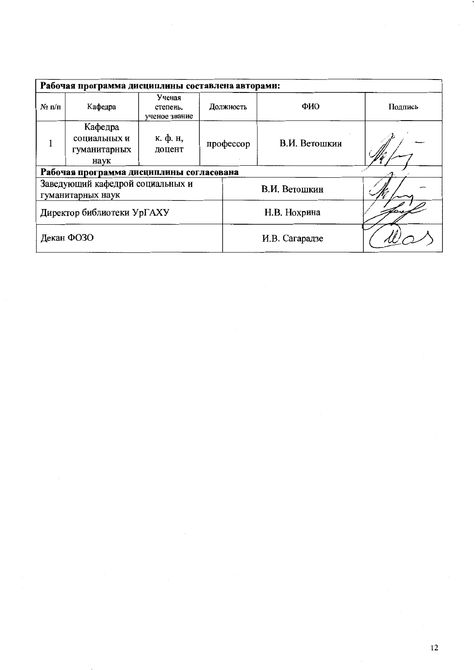| Рабочая программа дисциплины составлена авторами: |                                                       |                                     |           |                |         |  |  |  |  |  |
|---------------------------------------------------|-------------------------------------------------------|-------------------------------------|-----------|----------------|---------|--|--|--|--|--|
| $\mathbf{N}_2$ π/π                                | Кафедра                                               | Ученая<br>степень,<br>ученое звание | Должность | ФИО            | Подпись |  |  |  |  |  |
|                                                   | Кафедра<br>социальных и<br>гуманитарных<br>наук       | к. ф. н,<br>доцент                  | профессор | В.И. Ветошкин  |         |  |  |  |  |  |
| Рабочая программа дисциплины согласована          |                                                       |                                     |           |                |         |  |  |  |  |  |
|                                                   | Заведующий кафедрой социальных и<br>гуманитарных наук |                                     |           | В.И. Ветошкин  |         |  |  |  |  |  |
|                                                   | Директор библиотеки УрГАХУ                            |                                     |           | Н.В. Нохрина   |         |  |  |  |  |  |
|                                                   | Декан ФОЗО                                            |                                     |           | И.В. Сагарадзе |         |  |  |  |  |  |